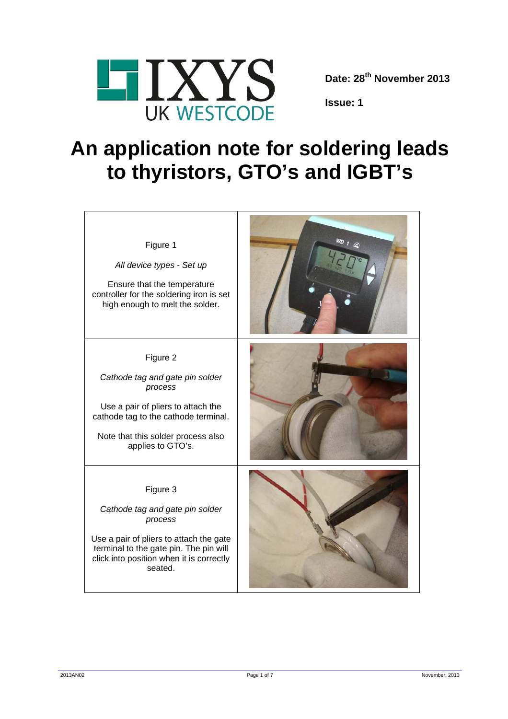

**Date: 28th November 2013** 

**Issue: 1** 

## **An application note for soldering leads to thyristors, GTO's and IGBT's**

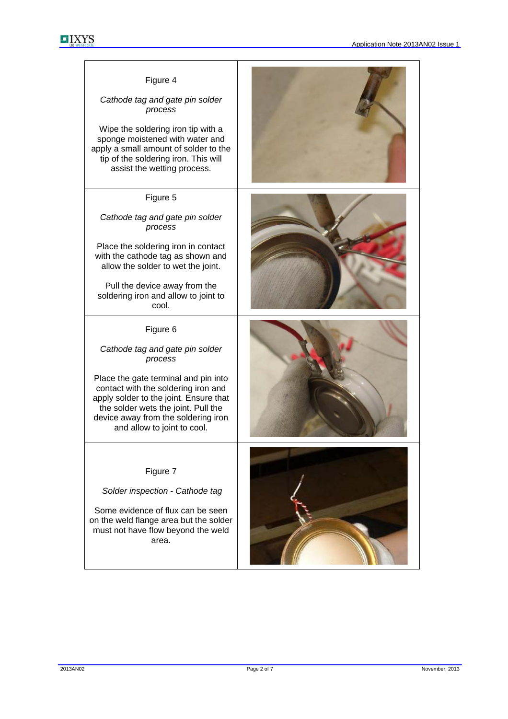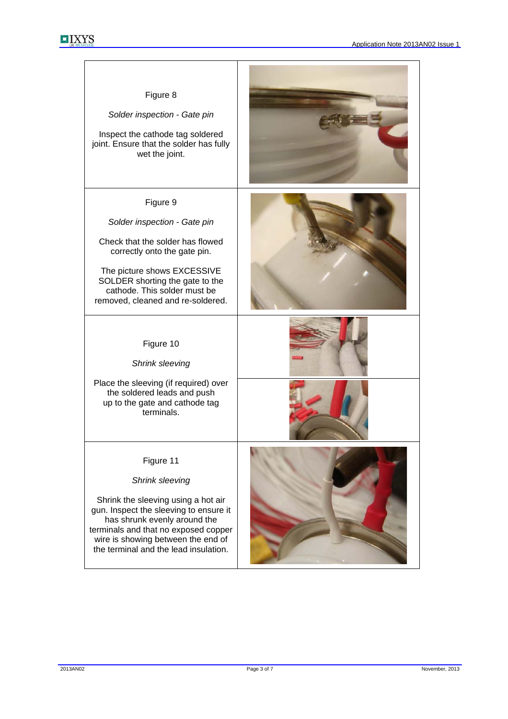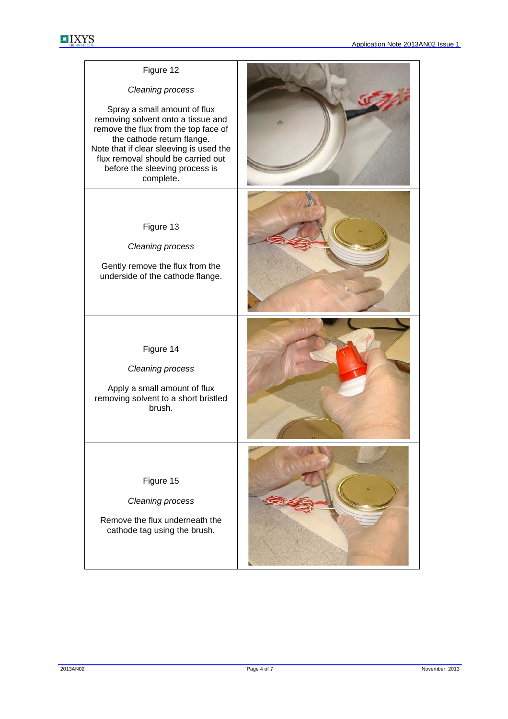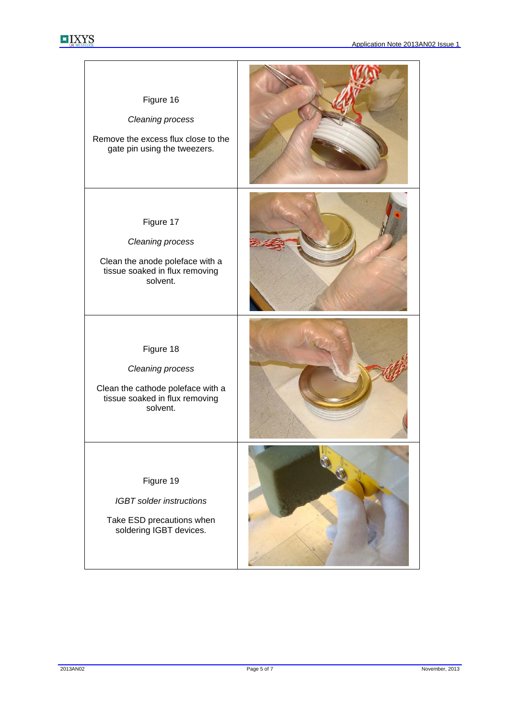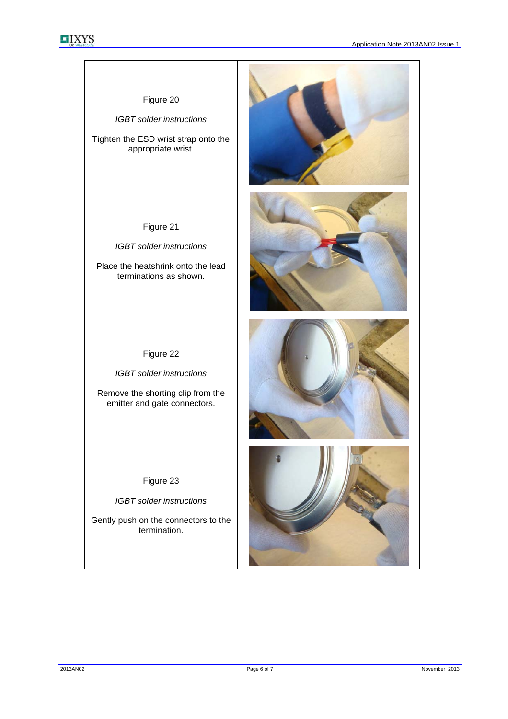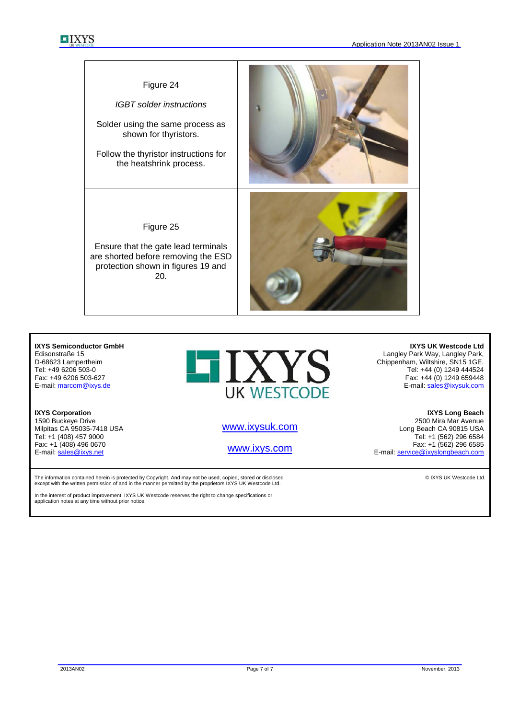

## **IXYS Semiconductor GmbH**  Edisonstraße 15 D-68623 Lampertheim Tel: +49 6206 503-0 Fax: +49 6206 503-627 E-mail: marcom@ixys.de

**IXYS Corporation**  1590 Buckeye Drive Milpitas CA 95035-7418 USA Tel: +1 (408) 457 9000 Fax: +1 (408) 496 0670 E-mail: sales@ixys.net

**UK WESTCODE** 

www.ixysuk.com

www.ixys.com

The information contained herein is protected by Copyright. And may not be used, copied, stored or disclosed except with the written permission of and in the manner permitted by the proprietors IXYS UK Westcode Ltd.

In the interest of product improvement, IXYS UK Westcode reserves the right to change specifications or application notes at any time without prior notice.

**IXYS UK Westcode Ltd**  Langley Park Way, Langley Park, Chippenham, Wiltshire, SN15 1GE. Tel: +44 (0) 1249 444524 Fax: +44 (0) 1249 659448 E-mail: sales@ixysuk,com

**IXYS Long Beach**  2500 Mira Mar Avenue Long Beach CA 90815 USA Tel: +1 (562) 296 6584 Fax: +1 (562) 296 6585 E-mail: service@ixyslongbeach.com

© IXYS UK Westcode Ltd.